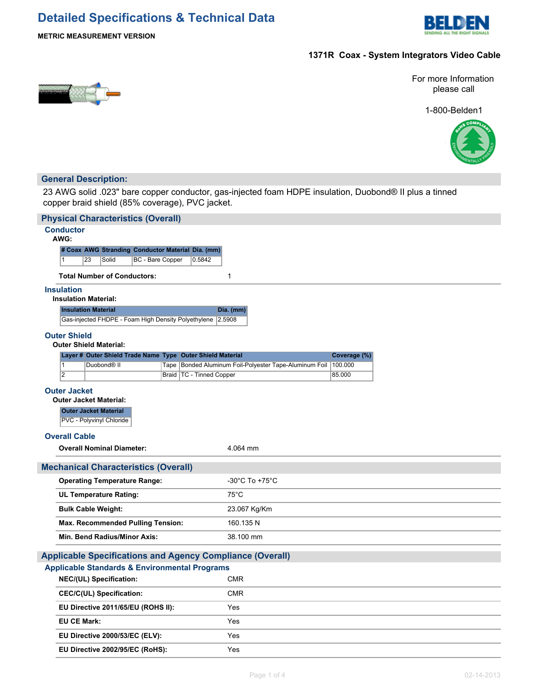# **Detailed Specifications & Technical Data**



**METRIC MEASUREMENT VERSION**

### **1371R Coax - System Integrators Video Cable**



For more Information please call

1-800-Belden1



### **General Description:**

23 AWG solid .023" bare copper conductor, gas-injected foam HDPE insulation, Duobond® II plus a tinned copper braid shield (85% coverage), PVC jacket.

| <b>Physical Characteristics (Overall)</b>                                                                             |                                                                |              |  |  |  |
|-----------------------------------------------------------------------------------------------------------------------|----------------------------------------------------------------|--------------|--|--|--|
| <b>Conductor</b>                                                                                                      |                                                                |              |  |  |  |
| AWG:                                                                                                                  |                                                                |              |  |  |  |
| # Coax AWG Stranding Conductor Material Dia. (mm)<br>23<br>Solid<br><b>BC</b> - Bare Copper<br>0.5842<br>$\mathbf{1}$ |                                                                |              |  |  |  |
| <b>Total Number of Conductors:</b>                                                                                    | 1                                                              |              |  |  |  |
| <b>Insulation</b>                                                                                                     |                                                                |              |  |  |  |
| <b>Insulation Material:</b>                                                                                           |                                                                |              |  |  |  |
| <b>Insulation Material</b>                                                                                            | Dia. (mm)                                                      |              |  |  |  |
| Gas-injected FHDPE - Foam High Density Polyethylene 2.5908                                                            |                                                                |              |  |  |  |
| <b>Outer Shield</b>                                                                                                   |                                                                |              |  |  |  |
| <b>Outer Shield Material:</b>                                                                                         |                                                                |              |  |  |  |
| Layer # Outer Shield Trade Name Type Outer Shield Material<br>Duobond <sup>®</sup> II<br>$\mathbf{1}$                 | Tape Bonded Aluminum Foil-Polyester Tape-Aluminum Foil 100.000 | Coverage (%) |  |  |  |
| $\overline{2}$<br>Braid   TC - Tinned Copper                                                                          |                                                                | 85.000       |  |  |  |
| <b>Outer Jacket</b>                                                                                                   |                                                                |              |  |  |  |
| <b>Outer Jacket Material:</b>                                                                                         |                                                                |              |  |  |  |
| <b>Outer Jacket Material</b>                                                                                          |                                                                |              |  |  |  |
| PVC - Polyvinyl Chloride                                                                                              |                                                                |              |  |  |  |
| <b>Overall Cable</b>                                                                                                  |                                                                |              |  |  |  |
| <b>Overall Nominal Diameter:</b>                                                                                      | 4.064 mm                                                       |              |  |  |  |
| <b>Mechanical Characteristics (Overall)</b>                                                                           |                                                                |              |  |  |  |
| <b>Operating Temperature Range:</b>                                                                                   | $-30^{\circ}$ C To $+75^{\circ}$ C                             |              |  |  |  |
| <b>UL Temperature Rating:</b>                                                                                         | $75^{\circ}$ C                                                 |              |  |  |  |
| <b>Bulk Cable Weight:</b>                                                                                             | 23.067 Kg/Km                                                   |              |  |  |  |
| <b>Max. Recommended Pulling Tension:</b>                                                                              | 160.135 N                                                      |              |  |  |  |
| Min. Bend Radius/Minor Axis:                                                                                          | 38.100 mm                                                      |              |  |  |  |
| <b>Applicable Specifications and Agency Compliance (Overall)</b>                                                      |                                                                |              |  |  |  |
| <b>Applicable Standards &amp; Environmental Programs</b>                                                              |                                                                |              |  |  |  |
| NEC/(UL) Specification:                                                                                               | <b>CMR</b>                                                     |              |  |  |  |
| CEC/C(UL) Specification:                                                                                              | <b>CMR</b>                                                     |              |  |  |  |
| EU Directive 2011/65/EU (ROHS II):                                                                                    | Yes                                                            |              |  |  |  |
| <b>EU CE Mark:</b>                                                                                                    | Yes                                                            |              |  |  |  |
| EU Directive 2000/53/EC (ELV):                                                                                        | Yes                                                            |              |  |  |  |
| EU Directive 2002/95/EC (RoHS):                                                                                       | Yes                                                            |              |  |  |  |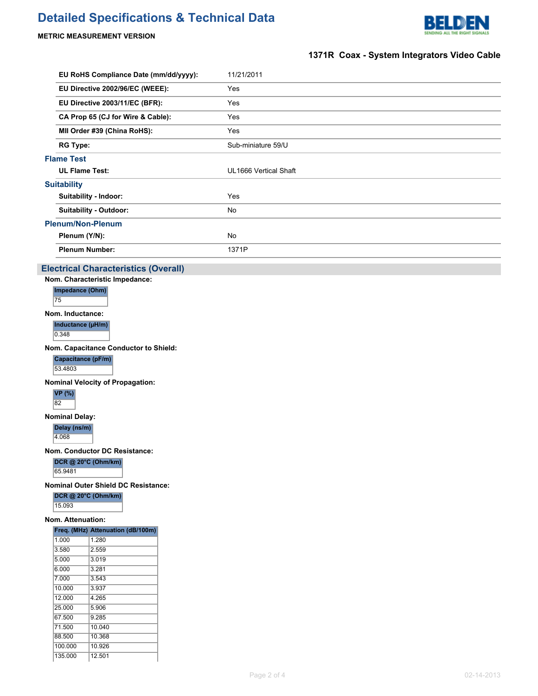## **Detailed Specifications & Technical Data**



### **METRIC MEASUREMENT VERSION**

### **1371R Coax - System Integrators Video Cable**

|                    | EU RoHS Compliance Date (mm/dd/yyyy): | 11/21/2011            |
|--------------------|---------------------------------------|-----------------------|
|                    | EU Directive 2002/96/EC (WEEE):       | Yes                   |
|                    | EU Directive 2003/11/EC (BFR):        | Yes                   |
|                    | CA Prop 65 (CJ for Wire & Cable):     | Yes                   |
|                    | MII Order #39 (China RoHS):           | Yes                   |
|                    | <b>RG Type:</b>                       | Sub-miniature 59/U    |
| <b>Flame Test</b>  |                                       |                       |
|                    | <b>UL Flame Test:</b>                 | UL1666 Vertical Shaft |
| <b>Suitability</b> |                                       |                       |
|                    | Suitability - Indoor:                 | Yes                   |
|                    | Suitability - Outdoor:                | No.                   |
|                    | <b>Plenum/Non-Plenum</b>              |                       |
|                    | Plenum (Y/N):                         | No                    |
|                    | <b>Plenum Number:</b>                 | 1371P                 |
|                    |                                       |                       |

#### **Electrical Characteristics (Overall)**

**Nom. Characteristic Impedance:**

**Impedance (Ohm)** 75

**Nom. Inductance:**

**Inductance (µH/m)**

 $0.348$ 

**Nom. Capacitance Conductor to Shield:**

**Capacitance (pF/m)**

53.4803

**Nominal Velocity of Propagation:**

**VP (%)** 82

**Nominal Delay:**

**Delay (ns/m)**

4.068

**Nom. Conductor DC Resistance:**

**DCR @ 20°C (Ohm/km)** 65.9481

**Nominal Outer Shield DC Resistance:**

**DCR @ 20°C (Ohm/km)**

15.093

#### **Nom. Attenuation:**

| Freq. (MHz) Attenuation (dB/100m) |
|-----------------------------------|
| 1.280                             |
| 2.559                             |
| 3.019                             |
| 3 281                             |
| 3.543                             |
| 3.937                             |
| 4.265                             |
| 5.906                             |
| 9.285                             |
| 10.040                            |
| 10.368                            |
| 10.926                            |
| 12.501                            |
|                                   |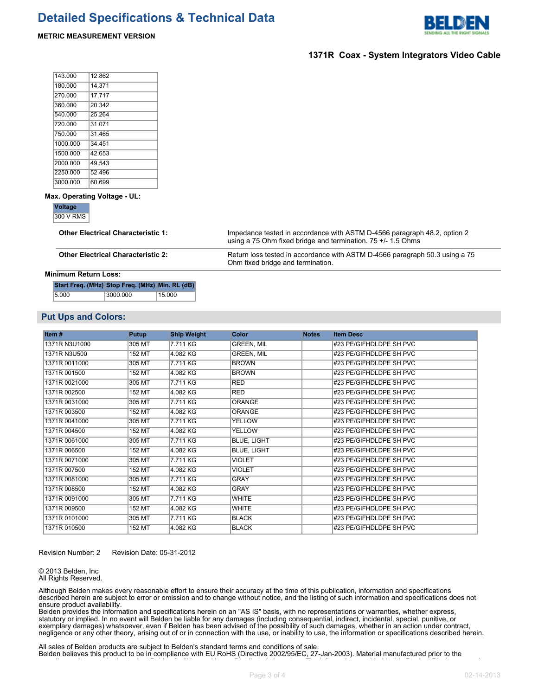

#### **1371R Coax - System Integrators Video Cable**

| 143 000  | 12862  |
|----------|--------|
| 180.000  | 14 371 |
| 270.000  | 17717  |
| 360.000  | 20.342 |
| 540.000  | 25264  |
| 720.000  | 31 071 |
| 750.000  | 31 465 |
| 1000 000 | 34 451 |
| 1500 000 | 42 653 |
| 2000.000 | 49.543 |
| 2250.000 | 52 496 |
| 3000.000 | 60.699 |

**METRIC MEASUREMENT VERSION**

#### **Max. Operating Voltage - UL:**

**Voltage**

300 V RMS

**Other Electrical Characteristic 1:** Impedance tested in accordance with ASTM D-4566 paragraph 48.2, option 2 using a 75 Ohm fixed bridge and termination. 75 +/- 1.5 Ohms

**Other Electrical Characteristic 2:** Return loss tested in accordance with ASTM D-4566 paragraph 50.3 using a 75 Ohm fixed bridge and termination.

#### **Minimum Return Loss:**

| Start Freq. (MHz) Stop Freq. (MHz) Min. RL (dB) |          |        |
|-------------------------------------------------|----------|--------|
| 5.000                                           | 3000.000 | 15.000 |

#### **Put Ups and Colors:**

| Item#         | Putup  | <b>Ship Weight</b> | <b>Color</b>       | <b>Notes</b> | <b>Item Desc</b>        |
|---------------|--------|--------------------|--------------------|--------------|-------------------------|
| 1371R N3U1000 | 305 MT | 7.711 KG           | <b>GREEN, MIL</b>  |              | #23 PE/GIFHDLDPE SH PVC |
| 1371R N3U500  | 152 MT | 4.082 KG           | <b>GREEN, MIL</b>  |              | #23 PE/GIFHDLDPE SH PVC |
| 1371R 0011000 | 305 MT | 7.711 KG           | <b>BROWN</b>       |              | #23 PE/GIFHDLDPE SH PVC |
| 1371R 001500  | 152 MT | 4.082 KG           | <b>BROWN</b>       |              | #23 PE/GIFHDLDPE SH PVC |
| 1371R 0021000 | 305 MT | 7.711 KG           | <b>RED</b>         |              | #23 PE/GIFHDLDPE SH PVC |
| 1371R 002500  | 152 MT | 4.082 KG           | <b>RED</b>         |              | #23 PE/GIFHDLDPE SH PVC |
| 1371R 0031000 | 305 MT | 7.711 KG           | <b>ORANGE</b>      |              | #23 PE/GIFHDLDPE SH PVC |
| 1371R 003500  | 152 MT | 4.082 KG           | <b>ORANGE</b>      |              | #23 PE/GIFHDLDPE SH PVC |
| 1371R 0041000 | 305 MT | 7.711 KG           | <b>YELLOW</b>      |              | #23 PE/GIFHDLDPE SH PVC |
| 1371R 004500  | 152 MT | 4.082 KG           | <b>YELLOW</b>      |              | #23 PE/GIFHDLDPE SH PVC |
| 1371R 0061000 | 305 MT | 7.711 KG           | <b>BLUE, LIGHT</b> |              | #23 PE/GIFHDLDPE SH PVC |
| 1371R 006500  | 152 MT | 4.082 KG           | <b>BLUE, LIGHT</b> |              | #23 PE/GIFHDLDPE SH PVC |
| 1371R 0071000 | 305 MT | 7.711 KG           | <b>VIOLET</b>      |              | #23 PE/GIFHDLDPE SH PVC |
| 1371R 007500  | 152 MT | 4.082 KG           | <b>VIOLET</b>      |              | #23 PE/GIFHDLDPE SH PVC |
| 1371R 0081000 | 305 MT | 7.711 KG           | <b>GRAY</b>        |              | #23 PE/GIFHDLDPE SH PVC |
| 1371R 008500  | 152 MT | 4.082 KG           | <b>GRAY</b>        |              | #23 PE/GIFHDLDPE SH PVC |
| 1371R 0091000 | 305 MT | 7.711 KG           | <b>WHITE</b>       |              | #23 PE/GIFHDLDPE SH PVC |
| 1371R 009500  | 152 MT | 4.082 KG           | <b>WHITE</b>       |              | #23 PE/GIFHDLDPE SH PVC |
| 1371R 0101000 | 305 MT | 7.711 KG           | <b>BLACK</b>       |              | #23 PE/GIFHDLDPE SH PVC |
| 1371R 010500  | 152 MT | 4.082 KG           | <b>BLACK</b>       |              | #23 PE/GIFHDLDPE SH PVC |

Revision Number: 2 Revision Date: 05-31-2012

© 2013 Belden, Inc All Rights Reserved.

Although Belden makes every reasonable effort to ensure their accuracy at the time of this publication, information and specifications described herein are subject to error or omission and to change without notice, and the listing of such information and specifications does not ensure product availability.

Belden provides the information and specifications herein on an "AS IS" basis, with no representations or warranties, whether express, statutory or implied. In no event will Belden be liable for any damages (including consequential, indirect, incidental, special, punitive, or exemplary damages) whatsoever, even if Belden has been advised of the possibility of such damages, whether in an action under contract, negligence or any other theory, arising out of or in connection with the use, or inability to use, the information or specifications described herein.

All sales of Belden products are subject to Belden's standard terms and conditions of sale. Belden believes this product to be in compliance with EU RoHS (Directive 2002/95/EC, 27-Jan-2003). Material manufactured prior to the